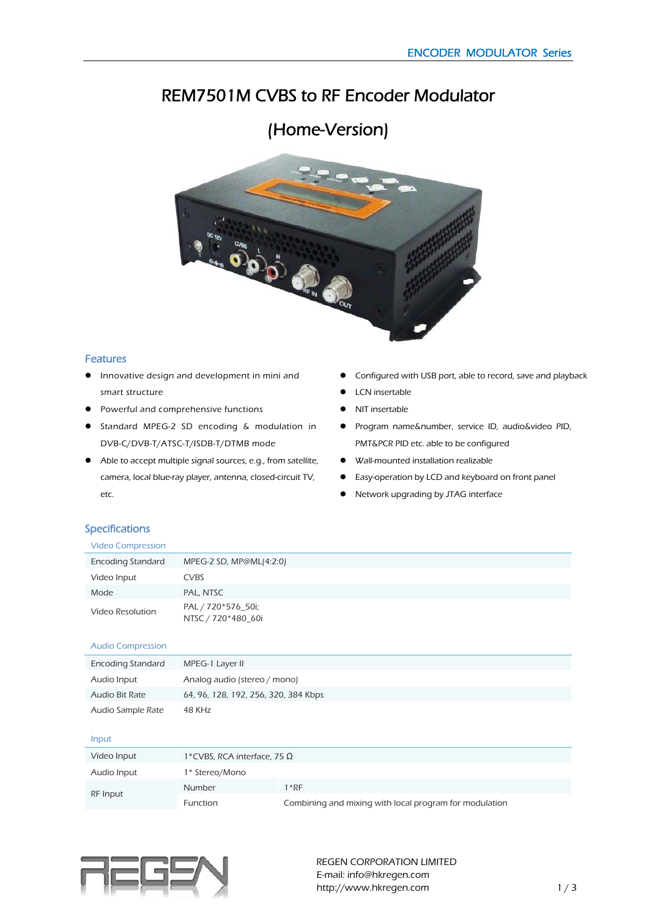# REM7501M CVBS to RF Encoder Modulator

# (Home-Version)



## Features

- **•** Innovative design and development in mini and smart structure
- **•** Powerful and comprehensive functions
- **•** Standard MPEG-2 SD encoding & modulation in DVB-C/DVB-T/ATSC-T/ISDB-T/DTMB mode
- Able to accept multiple signal sources, e.g., from satellite, camera, local blue-ray player, antenna, closed-circuit TV, etc.
- Configured with USB port, able to record, save and playback
- LCN insertable
- NIT insertable
- Program name&number, service ID, audio&video PID, PMT&PCR PID etc. able to be configured
- Wall-mounted installation realizable
- Easy-operation by LCD and keyboard on front panel
- Network upgrading by JTAG interface

## Specifications

| <b>Video Compression</b> |                                          |
|--------------------------|------------------------------------------|
| <b>Encoding Standard</b> | MPEG-2 SD, MP@ML(4:2:0)                  |
| Video Input              | <b>CVBS</b>                              |
| Mode                     | PAL, NTSC                                |
| Video Resolution         | PAL / 720*576_50i;<br>NTSC / 720*480_60i |

#### Audio Compression

| <b>Encoding Standard</b> | MPEG-1 Layer II                      |
|--------------------------|--------------------------------------|
| Audio Input              | Analog audio (stereo / mono)         |
| Audio Bit Rate           | 64, 96, 128, 192, 256, 320, 384 Kbps |
| Audio Sample Rate        | 48 KHz                               |

#### Input

| Video Input | 1*CVBS, RCA interface, 75 $\Omega$ |                                                        |
|-------------|------------------------------------|--------------------------------------------------------|
| Audio Input | 1* Stereo/Mono                     |                                                        |
| RF Input    | Number                             | 1 * RF                                                 |
|             | Function                           | Combining and mixing with local program for modulation |

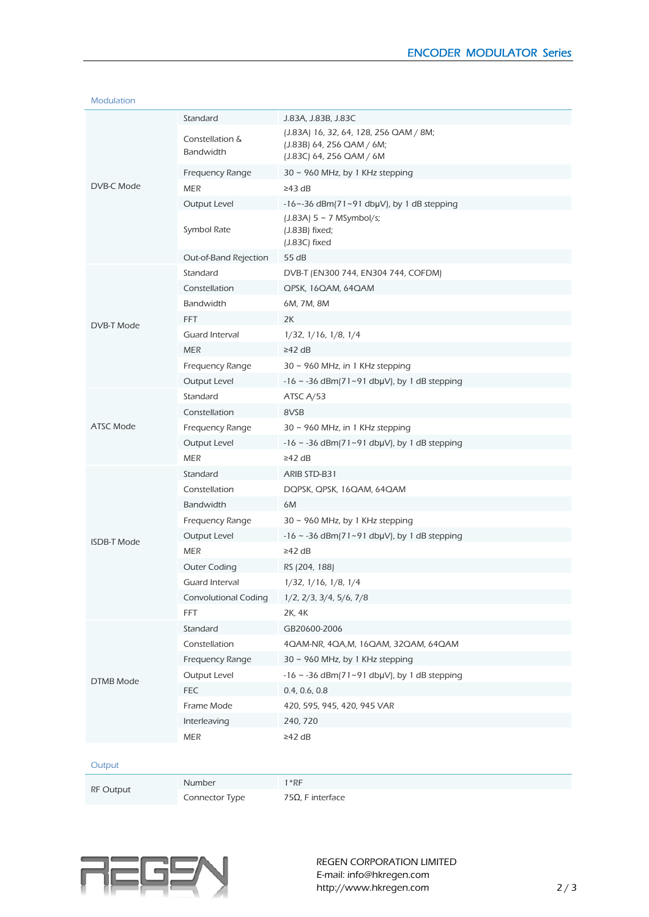|                    | Standard               | J.83A, J.83B, J.83C                                              |
|--------------------|------------------------|------------------------------------------------------------------|
|                    | Constellation &        | (J.83A) 16, 32, 64, 128, 256 QAM / 8M;                           |
|                    | Bandwidth              | (J.83B) 64, 256 QAM / 6M;                                        |
|                    | Frequency Range        | (J.83C) 64, 256 QAM / 6M<br>$30 \sim 960$ MHz, by 1 KHz stepping |
| DVB-C Mode         | <b>MER</b>             | $\geq$ 43 dB                                                     |
|                    | Output Level           | $-16$ ~ -36 dBm(71~91 dbµV), by 1 dB stepping                    |
|                    |                        | $(J.83A)$ 5 ~ 7 MSymbol/s;                                       |
|                    | Symbol Rate            | (J.83B) fixed;<br>(J.83C) fixed                                  |
|                    | Out-of-Band Rejection  | 55 dB                                                            |
|                    | Standard               | DVB-T (EN300 744, EN304 744, COFDM)                              |
|                    | Constellation          | QPSK, 16QAM, 64QAM                                               |
|                    | <b>Bandwidth</b>       | 6M, 7M, 8M                                                       |
| DVB-T Mode         | <b>FFT</b>             | 2K                                                               |
|                    | Guard Interval         | $1/32$ , $1/16$ , $1/8$ , $1/4$                                  |
|                    | <b>MER</b>             | $\geq$ 42 dB                                                     |
|                    | <b>Frequency Range</b> | 30 ~ 960 MHz, in 1 KHz stepping                                  |
|                    | Output Level           | $-16 \sim -36$ dBm $(71 \sim 91$ dbµV), by 1 dB stepping         |
|                    | Standard               | ATSC A/53                                                        |
|                    | Constellation          | 8VSB                                                             |
| <b>ATSC Mode</b>   | Frequency Range        | 30 ~ 960 MHz, in 1 KHz stepping                                  |
|                    | Output Level           | $-16 \sim -36$ dBm $(71 \sim 91$ dbµV), by 1 dB stepping         |
|                    | <b>MER</b>             | ≥42 dB                                                           |
|                    | Standard               | ARIB STD-B31                                                     |
|                    | Constellation          | DOPSK, OPSK, 16QAM, 64QAM                                        |
|                    | <b>Bandwidth</b>       | 6M                                                               |
|                    | Frequency Range        | $30 \sim 960$ MHz, by 1 KHz stepping                             |
| <b>ISDB-T Mode</b> | Output Level           | $-16 \sim -36$ dBm(71~91 dbµV), by 1 dB stepping                 |
|                    | <b>MER</b>             | $\geq$ 42 dB                                                     |
|                    | Outer Coding           | RS (204, 188)                                                    |
|                    | Guard Interval         | $1/32$ , $1/16$ , $1/8$ , $1/4$                                  |
|                    | Convolutional Coding   | 1/2, 2/3, 3/4, 5/6, 7/8                                          |
|                    | <b>FFT</b>             | 2K, 4K                                                           |
|                    | Standard               | GB20600-2006                                                     |
|                    | Constellation          | 4QAM-NR, 4QA,M, 16QAM, 32QAM, 64QAM                              |
|                    | Frequency Range        | $30 \sim 960$ MHz, by 1 KHz stepping                             |
| DTMB Mode          | Output Level           | $-16 \sim -36$ dBm $(71 \sim 91$ dbµV), by 1 dB stepping         |
|                    | <b>FEC</b>             | 0.4, 0.6, 0.8                                                    |
|                    | Frame Mode             | 420, 595, 945, 420, 945 VAR                                      |
|                    | Interleaving           | 240, 720                                                         |
|                    | MER                    | ≥42 dB                                                           |
| Output             |                        |                                                                  |
|                    | Number                 | $1*RF$                                                           |
| RF Output          |                        |                                                                  |

Modulation



Connector Type 75Ω, F interface

REGEN CORPORATION LIMITED E-mail: info@hkregen.com http://www.hkregen.com 2 / 3